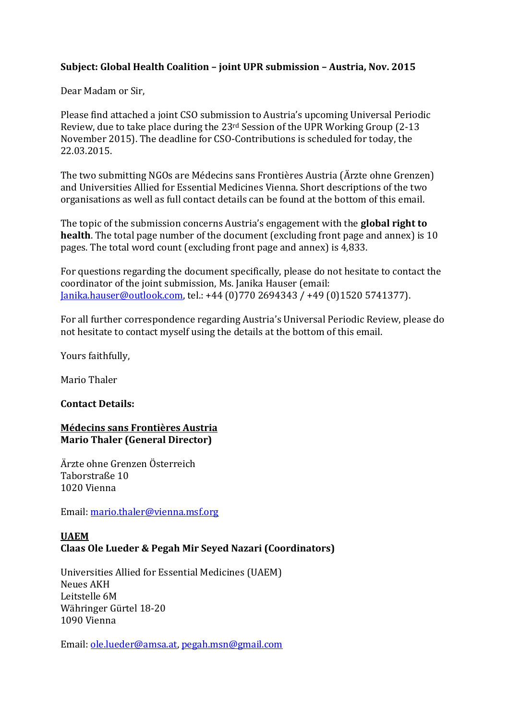# **Subject: Global Health Coalition – joint UPR submission – Austria, Nov. 2015**

Dear Madam or Sir,

Please find attached a joint CSO submission to Austria's upcoming Universal Periodic Review, due to take place during the 23rd Session of the UPR Working Group (2-13 November 2015). The deadline for CSO-Contributions is scheduled for today, the 22.03.2015.

The two submitting NGOs are Médecins sans Frontières Austria (Ärzte ohne Grenzen) and Universities Allied for Essential Medicines Vienna. Short descriptions of the two organisations as well as full contact details can be found at the bottom of this email.

The topic of the submission concerns Austria's engagement with the **global right to health**. The total page number of the document (excluding front page and annex) is 10 pages. The total word count (excluding front page and annex) is 4,833.

For questions regarding the document specifically, please do not hesitate to contact the coordinator of the joint submission, Ms. Janika Hauser (email: [Janika.hauser@outlook.com,](mailto:Janika.hauser@outlook.com) tel.: +44 (0)770 2694343 / +49 (0)1520 5741377).

For all further correspondence regarding Austria's Universal Periodic Review, please do not hesitate to contact myself using the details at the bottom of this email.

Yours faithfully,

Mario Thaler

#### **Contact Details:**

## **Médecins sans Frontières Austria Mario Thaler (General Director)**

Ärzte ohne Grenzen Österreich Taborstraße 10 1020 Vienna

Email: [mario.thaler@vienna.msf.org](mailto:mario.thaler@vienna.msf.org)

## **UAEM Claas Ole Lueder & Pegah Mir Seyed Nazari (Coordinators)**

Universities Allied for Essential Medicines (UAEM) Neues AKH Leitstelle 6M Währinger Gürtel 18-20 1090 Vienna

Email: [ole.lueder@amsa.at,](mailto:ole.lueder@amsa.at) [pegah.msn@gmail.com](mailto:pegah.msn@gmail.com)